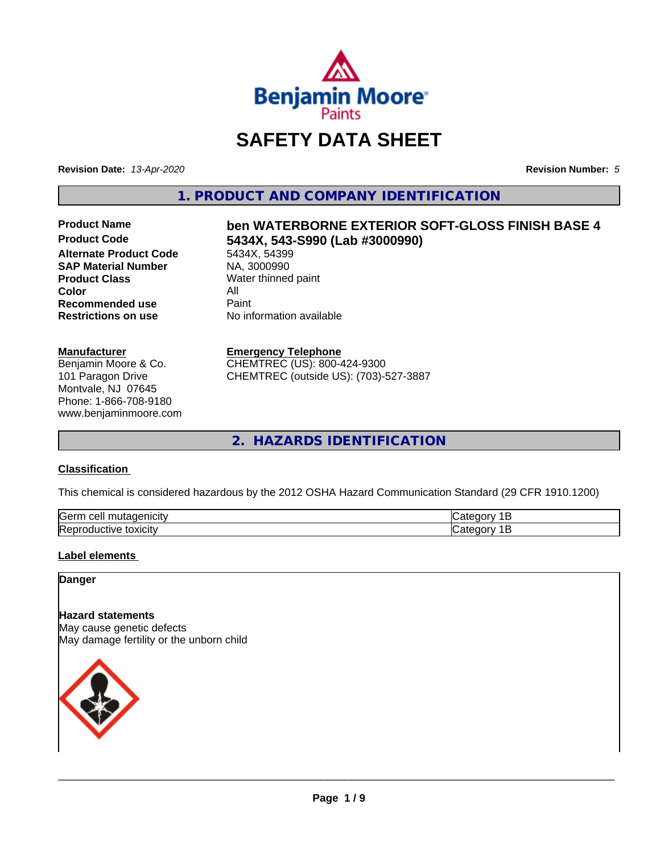

# **SAFETY DATA SHEET**

**Revision Date:** *13-Apr-2020* **Revision Number:** *5*

**1. PRODUCT AND COMPANY IDENTIFICATION**

**Alternate Product Code** 5434X, 54399<br> **SAP Material Number** NA, 3000990 **SAP Material Number Product Class** Water thinned paint<br> **Color** All **Color** All **Recommended use** Paint **Restrictions on use** No information available

#### **Manufacturer**

Benjamin Moore & Co. 101 Paragon Drive Montvale, NJ 07645 Phone: 1-866-708-9180 www.benjaminmoore.com

# Product Name **ben WATERBORNE EXTERIOR SOFT-GLOSS FINISH BASE 4**<br>Product Code **6234X 543-8990 (Lab #3000990) Product Code 5434X, 543-S990 (Lab #3000990)**

# **Emergency Telephone**

CHEMTREC (US): 800-424-9300 CHEMTREC (outside US): (703)-527-3887

**2. HAZARDS IDENTIFICATION**

# **Classification**

This chemical is considered hazardous by the 2012 OSHA Hazard Communication Standard (29 CFR 1910.1200)

| lGerm<br>cell<br>-------<br>าเด<br>лім | ---- |
|----------------------------------------|------|
| toxicity<br>:tive<br>Rei<br>ж          |      |

# **Label elements**

#### **Danger**

#### **Hazard statements** May cause genetic defects May damage fertility or the unborn child

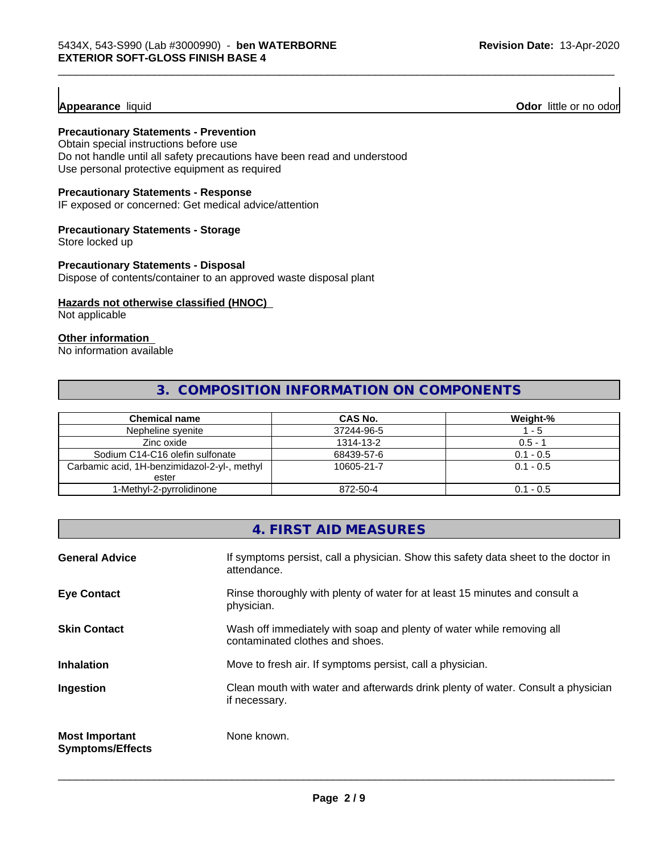**Appearance** liquid **Odor 11** Odor little or no odor

## **Precautionary Statements - Prevention**

Obtain special instructions before use Do not handle until all safety precautions have been read and understood Use personal protective equipment as required

# **Precautionary Statements - Response**

IF exposed or concerned: Get medical advice/attention

# **Precautionary Statements - Storage**

Store locked up

#### **Precautionary Statements - Disposal**

Dispose of contents/container to an approved waste disposal plant

# **Hazards not otherwise classified (HNOC)**

Not applicable

#### **Other information**

No information available

# **3. COMPOSITION INFORMATION ON COMPONENTS**

\_\_\_\_\_\_\_\_\_\_\_\_\_\_\_\_\_\_\_\_\_\_\_\_\_\_\_\_\_\_\_\_\_\_\_\_\_\_\_\_\_\_\_\_\_\_\_\_\_\_\_\_\_\_\_\_\_\_\_\_\_\_\_\_\_\_\_\_\_\_\_\_\_\_\_\_\_\_\_\_\_\_\_\_\_\_\_\_\_\_\_\_\_

| <b>Chemical name</b>                         | CAS No.    | Weight-%    |
|----------------------------------------------|------------|-------------|
| Nepheline syenite                            | 37244-96-5 | $-5$        |
| Zinc oxide                                   | 1314-13-2  | $0.5 - 1$   |
| Sodium C14-C16 olefin sulfonate              | 68439-57-6 | $0.1 - 0.5$ |
| Carbamic acid, 1H-benzimidazol-2-yl-, methyl | 10605-21-7 | $0.1 - 0.5$ |
| ester                                        |            |             |
| 1-Methyl-2-pyrrolidinone                     | 872-50-4   | $0.1 - 0.5$ |

|                                                  | 4. FIRST AID MEASURES                                                                                    |
|--------------------------------------------------|----------------------------------------------------------------------------------------------------------|
| <b>General Advice</b>                            | If symptoms persist, call a physician. Show this safety data sheet to the doctor in<br>attendance.       |
| <b>Eye Contact</b>                               | Rinse thoroughly with plenty of water for at least 15 minutes and consult a<br>physician.                |
| <b>Skin Contact</b>                              | Wash off immediately with soap and plenty of water while removing all<br>contaminated clothes and shoes. |
| <b>Inhalation</b>                                | Move to fresh air. If symptoms persist, call a physician.                                                |
| Ingestion                                        | Clean mouth with water and afterwards drink plenty of water. Consult a physician<br>if necessary.        |
| <b>Most Important</b><br><b>Symptoms/Effects</b> | None known.                                                                                              |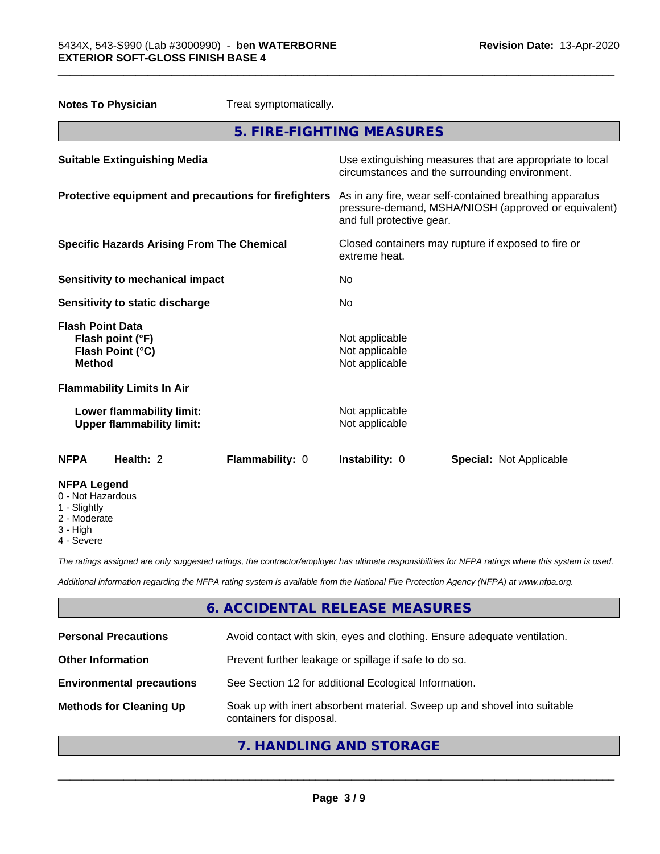|                                                                         | <b>Notes To Physician</b>                                     | Treat symptomatically.                                               |                                                    |                                                                                                                 |
|-------------------------------------------------------------------------|---------------------------------------------------------------|----------------------------------------------------------------------|----------------------------------------------------|-----------------------------------------------------------------------------------------------------------------|
|                                                                         |                                                               |                                                                      | 5. FIRE-FIGHTING MEASURES                          |                                                                                                                 |
|                                                                         | <b>Suitable Extinguishing Media</b>                           |                                                                      |                                                    | Use extinguishing measures that are appropriate to local<br>circumstances and the surrounding environment.      |
|                                                                         |                                                               | Protective equipment and precautions for firefighters                | and full protective gear.                          | As in any fire, wear self-contained breathing apparatus<br>pressure-demand, MSHA/NIOSH (approved or equivalent) |
| <b>Specific Hazards Arising From The Chemical</b>                       |                                                               | Closed containers may rupture if exposed to fire or<br>extreme heat. |                                                    |                                                                                                                 |
|                                                                         | <b>Sensitivity to mechanical impact</b>                       |                                                                      | No.                                                |                                                                                                                 |
| Sensitivity to static discharge                                         |                                                               | No.                                                                  |                                                    |                                                                                                                 |
| <b>Flash Point Data</b><br><b>Method</b>                                | Flash point (°F)<br>Flash Point (°C)                          |                                                                      | Not applicable<br>Not applicable<br>Not applicable |                                                                                                                 |
|                                                                         | <b>Flammability Limits In Air</b>                             |                                                                      |                                                    |                                                                                                                 |
|                                                                         | Lower flammability limit:<br><b>Upper flammability limit:</b> |                                                                      | Not applicable<br>Not applicable                   |                                                                                                                 |
| NFPA                                                                    | Health: 2                                                     | Flammability: 0                                                      | Instability: 0                                     | <b>Special: Not Applicable</b>                                                                                  |
| <b>NFPA Legend</b><br>0 - Not Hazardous<br>1 - Slightly<br>2 - Moderate |                                                               |                                                                      |                                                    |                                                                                                                 |

\_\_\_\_\_\_\_\_\_\_\_\_\_\_\_\_\_\_\_\_\_\_\_\_\_\_\_\_\_\_\_\_\_\_\_\_\_\_\_\_\_\_\_\_\_\_\_\_\_\_\_\_\_\_\_\_\_\_\_\_\_\_\_\_\_\_\_\_\_\_\_\_\_\_\_\_\_\_\_\_\_\_\_\_\_\_\_\_\_\_\_\_\_

- 3 High
- 4 Severe

*The ratings assigned are only suggested ratings, the contractor/employer has ultimate responsibilities for NFPA ratings where this system is used.*

*Additional information regarding the NFPA rating system is available from the National Fire Protection Agency (NFPA) at www.nfpa.org.*

# **6. ACCIDENTAL RELEASE MEASURES**

| <b>Personal Precautions</b>      | Avoid contact with skin, eyes and clothing. Ensure adequate ventilation.                             |  |
|----------------------------------|------------------------------------------------------------------------------------------------------|--|
| <b>Other Information</b>         | Prevent further leakage or spillage if safe to do so.                                                |  |
| <b>Environmental precautions</b> | See Section 12 for additional Ecological Information.                                                |  |
| <b>Methods for Cleaning Up</b>   | Soak up with inert absorbent material. Sweep up and shovel into suitable<br>containers for disposal. |  |

**7. HANDLING AND STORAGE**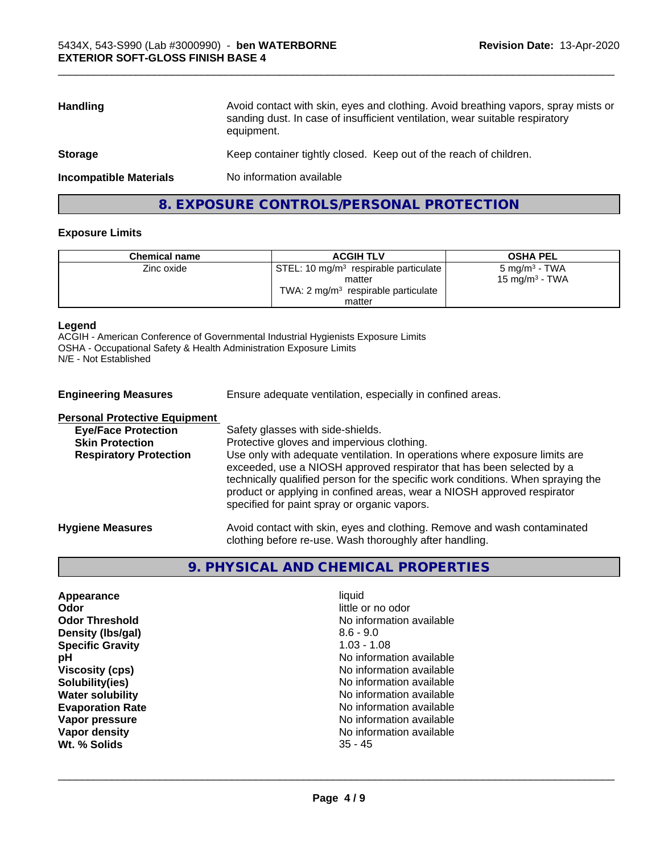| <b>Handling</b>               | Avoid contact with skin, eyes and clothing. Avoid breathing vapors, spray mists or<br>sanding dust. In case of insufficient ventilation, wear suitable respiratory<br>equipment. |  |
|-------------------------------|----------------------------------------------------------------------------------------------------------------------------------------------------------------------------------|--|
| <b>Storage</b>                | Keep container tightly closed. Keep out of the reach of children.                                                                                                                |  |
| <b>Incompatible Materials</b> | No information available                                                                                                                                                         |  |
|                               |                                                                                                                                                                                  |  |

\_\_\_\_\_\_\_\_\_\_\_\_\_\_\_\_\_\_\_\_\_\_\_\_\_\_\_\_\_\_\_\_\_\_\_\_\_\_\_\_\_\_\_\_\_\_\_\_\_\_\_\_\_\_\_\_\_\_\_\_\_\_\_\_\_\_\_\_\_\_\_\_\_\_\_\_\_\_\_\_\_\_\_\_\_\_\_\_\_\_\_\_\_

# **8. EXPOSURE CONTROLS/PERSONAL PROTECTION**

#### **Exposure Limits**

| Chemical name | <b>ACGIH TLV</b>                                  | <b>OSHA PEL</b>   |
|---------------|---------------------------------------------------|-------------------|
| Zinc oxide    | STEL: 10 mg/m <sup>3</sup> respirable particulate | 5 mg/m $3$ - TWA  |
|               | matter                                            | 15 mg/m $3$ - TWA |
|               | TWA: $2 \text{ mg/m}^3$ respirable particulate    |                   |
|               | matter                                            |                   |

#### **Legend**

ACGIH - American Conference of Governmental Industrial Hygienists Exposure Limits OSHA - Occupational Safety & Health Administration Exposure Limits N/E - Not Established

**Engineering Measures** Ensure adequate ventilation, especially in confined areas.

# **Personal Protective Equipment**

| <b>Eye/Face Protection</b>    | Safety glasses with side-shields.                                                |
|-------------------------------|----------------------------------------------------------------------------------|
| <b>Skin Protection</b>        | Protective gloves and impervious clothing.                                       |
| <b>Respiratory Protection</b> | Use only with adequate ventilation. In operations where exposure limits are      |
|                               | exceeded, use a NIOSH approved respirator that has been selected by a            |
|                               | technically qualified person for the specific work conditions. When spraying the |
|                               | product or applying in confined areas, wear a NIOSH approved respirator          |
|                               | specified for paint spray or organic vapors.                                     |
| <b>Hygiene Measures</b>       | Avoid contact with skin, eyes and clothing. Remove and wash contaminated         |
|                               | clothing before re-use. Wash thoroughly after handling.                          |

# **9. PHYSICAL AND CHEMICAL PROPERTIES**

| Appearance              | liquid                   |
|-------------------------|--------------------------|
| Odor                    | little or no odor        |
| <b>Odor Threshold</b>   | No information available |
| Density (Ibs/gal)       | $8.6 - 9.0$              |
| <b>Specific Gravity</b> | $1.03 - 1.08$            |
| рH                      | No information available |
| <b>Viscosity (cps)</b>  | No information available |
| Solubility(ies)         | No information available |
| <b>Water solubility</b> | No information available |
| <b>Evaporation Rate</b> | No information available |
| Vapor pressure          | No information available |
| Vapor density           | No information available |
| Wt. % Solids            | $35 - 45$                |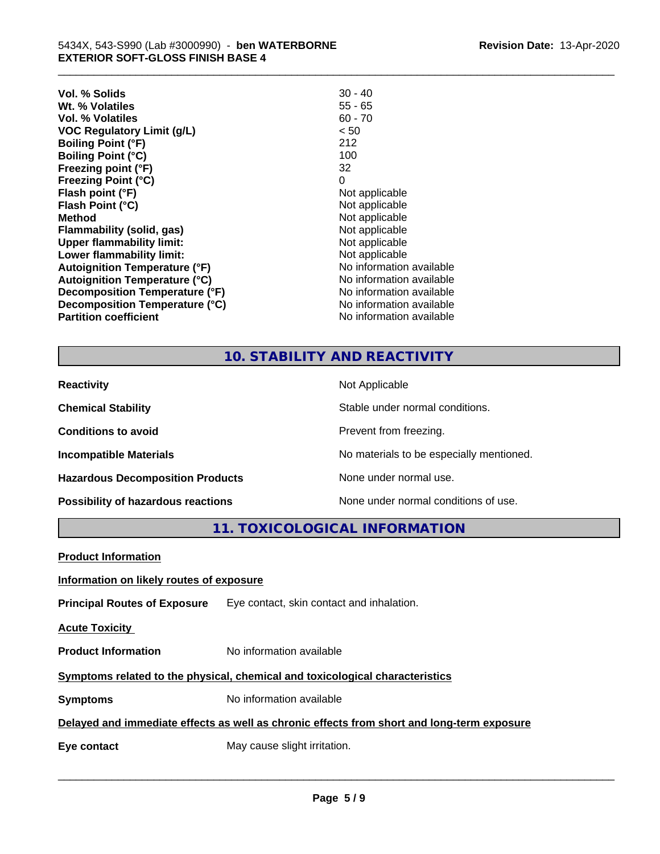| Vol. % Solids                        | $30 - 40$                |
|--------------------------------------|--------------------------|
| Wt. % Volatiles                      | $55 - 65$                |
| Vol. % Volatiles                     | $60 - 70$                |
| <b>VOC Regulatory Limit (g/L)</b>    | < 50                     |
| <b>Boiling Point (°F)</b>            | 212                      |
| <b>Boiling Point (°C)</b>            | 100                      |
| Freezing point (°F)                  | 32                       |
| <b>Freezing Point (°C)</b>           | 0                        |
| Flash point (°F)                     | Not applicable           |
| Flash Point (°C)                     | Not applicable           |
| <b>Method</b>                        | Not applicable           |
| Flammability (solid, gas)            | Not applicable           |
| <b>Upper flammability limit:</b>     | Not applicable           |
| Lower flammability limit:            | Not applicable           |
| <b>Autoignition Temperature (°F)</b> | No information available |
| <b>Autoignition Temperature (°C)</b> | No information available |
| Decomposition Temperature (°F)       | No information available |
| Decomposition Temperature (°C)       | No information available |
| <b>Partition coefficient</b>         | No information available |

# **10. STABILITY AND REACTIVITY**

\_\_\_\_\_\_\_\_\_\_\_\_\_\_\_\_\_\_\_\_\_\_\_\_\_\_\_\_\_\_\_\_\_\_\_\_\_\_\_\_\_\_\_\_\_\_\_\_\_\_\_\_\_\_\_\_\_\_\_\_\_\_\_\_\_\_\_\_\_\_\_\_\_\_\_\_\_\_\_\_\_\_\_\_\_\_\_\_\_\_\_\_\_

| <b>Reactivity</b>                         | Not Applicable                           |
|-------------------------------------------|------------------------------------------|
| <b>Chemical Stability</b>                 | Stable under normal conditions.          |
| <b>Conditions to avoid</b>                | Prevent from freezing.                   |
| <b>Incompatible Materials</b>             | No materials to be especially mentioned. |
| <b>Hazardous Decomposition Products</b>   | None under normal use.                   |
| <b>Possibility of hazardous reactions</b> | None under normal conditions of use.     |

**11. TOXICOLOGICAL INFORMATION**

| <b>Product Information</b>                                                                 |                                           |  |  |
|--------------------------------------------------------------------------------------------|-------------------------------------------|--|--|
| Information on likely routes of exposure                                                   |                                           |  |  |
| <b>Principal Routes of Exposure</b>                                                        | Eye contact, skin contact and inhalation. |  |  |
| <b>Acute Toxicity</b>                                                                      |                                           |  |  |
| <b>Product Information</b>                                                                 | No information available                  |  |  |
| Symptoms related to the physical, chemical and toxicological characteristics               |                                           |  |  |
| <b>Symptoms</b>                                                                            | No information available                  |  |  |
| Delayed and immediate effects as well as chronic effects from short and long-term exposure |                                           |  |  |
| Eye contact                                                                                | May cause slight irritation.              |  |  |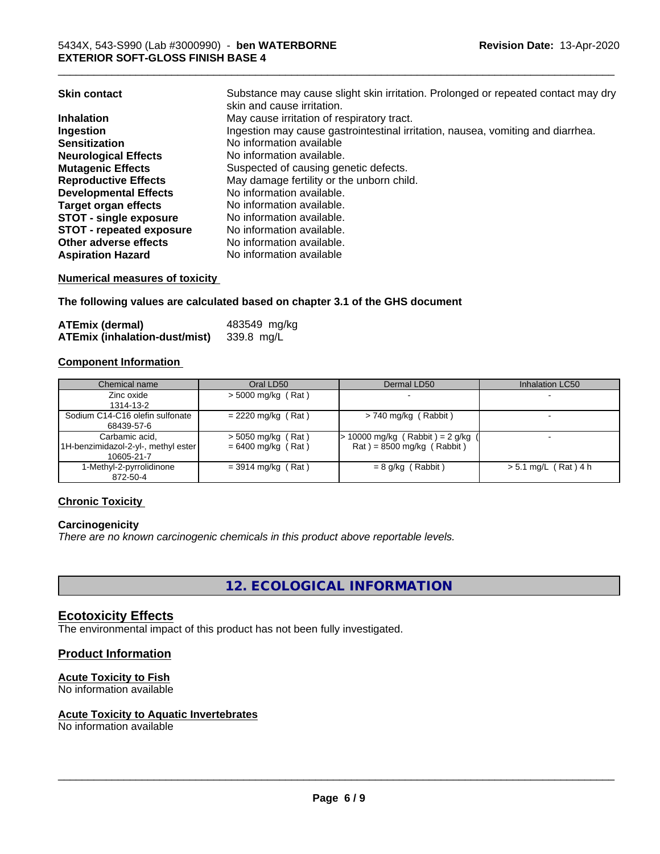| Substance may cause slight skin irritation. Prolonged or repeated contact may dry<br>skin and cause irritation. |
|-----------------------------------------------------------------------------------------------------------------|
| May cause irritation of respiratory tract.                                                                      |
| Ingestion may cause gastrointestinal irritation, nausea, vomiting and diarrhea.                                 |
| No information available                                                                                        |
| No information available.                                                                                       |
| Suspected of causing genetic defects.                                                                           |
| May damage fertility or the unborn child.                                                                       |
| No information available.                                                                                       |
| No information available.                                                                                       |
| No information available.                                                                                       |
| No information available.                                                                                       |
| No information available.                                                                                       |
| No information available                                                                                        |
|                                                                                                                 |

\_\_\_\_\_\_\_\_\_\_\_\_\_\_\_\_\_\_\_\_\_\_\_\_\_\_\_\_\_\_\_\_\_\_\_\_\_\_\_\_\_\_\_\_\_\_\_\_\_\_\_\_\_\_\_\_\_\_\_\_\_\_\_\_\_\_\_\_\_\_\_\_\_\_\_\_\_\_\_\_\_\_\_\_\_\_\_\_\_\_\_\_\_

**Numerical measures of toxicity**

**The following values are calculated based on chapter 3.1 of the GHS document**

| <b>ATEmix (dermal)</b>               | 483549 mg/kg |
|--------------------------------------|--------------|
| <b>ATEmix (inhalation-dust/mist)</b> | 339.8 mg/L   |

# **Component Information**

| Chemical name                       | Oral LD50            | Dermal LD50                         | Inhalation LC50        |
|-------------------------------------|----------------------|-------------------------------------|------------------------|
| Zinc oxide                          | $>$ 5000 mg/kg (Rat) |                                     |                        |
| 1314-13-2                           |                      |                                     |                        |
| Sodium C14-C16 olefin sulfonate     | $= 2220$ mg/kg (Rat) | > 740 mg/kg (Rabbit)                |                        |
| 68439-57-6                          |                      |                                     |                        |
| Carbamic acid.                      | $>$ 5050 mg/kg (Rat) | $> 10000$ mg/kg (Rabbit) = 2 g/kg ( |                        |
| 1H-benzimidazol-2-yl-, methyl ester | $= 6400$ mg/kg (Rat) | $Rat$ = 8500 mg/kg (Rabbit)         |                        |
| 10605-21-7                          |                      |                                     |                        |
| 1-Methyl-2-pyrrolidinone            | $=$ 3914 mg/kg (Rat) | $= 8$ g/kg (Rabbit)                 | $> 5.1$ mg/L (Rat) 4 h |
| 872-50-4                            |                      |                                     |                        |

# **Chronic Toxicity**

#### **Carcinogenicity**

*There are no known carcinogenic chemicals in this product above reportable levels.*

**12. ECOLOGICAL INFORMATION**

# **Ecotoxicity Effects**

The environmental impact of this product has not been fully investigated.

# **Product Information**

#### **Acute Toxicity to Fish**

No information available

# **Acute Toxicity to Aquatic Invertebrates**

No information available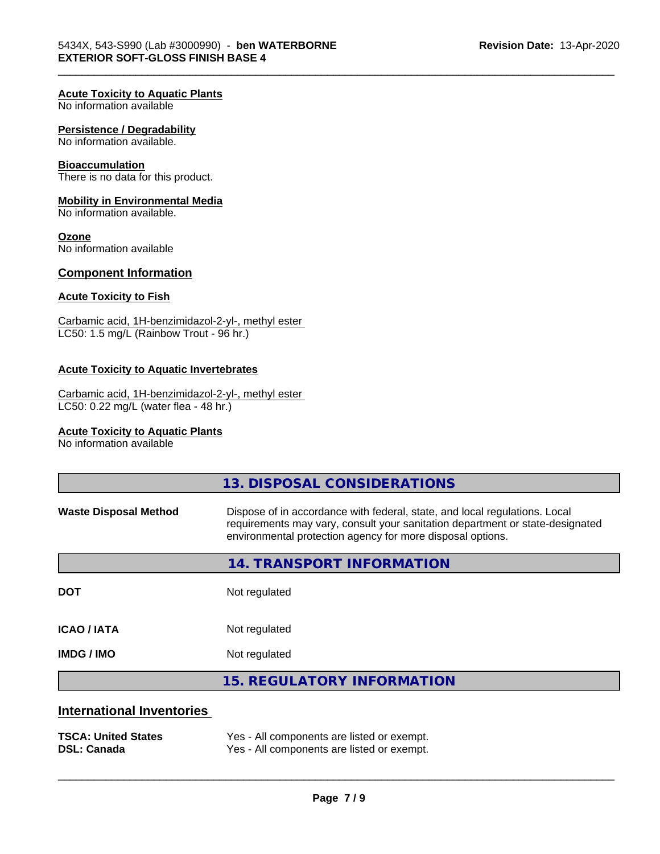#### **Acute Toxicity to Aquatic Plants**

No information available

#### **Persistence / Degradability**

No information available.

#### **Bioaccumulation**

There is no data for this product.

#### **Mobility in Environmental Media**

No information available.

#### **Ozone**

No information available

## **Component Information**

# **Acute Toxicity to Fish**

Carbamic acid, 1H-benzimidazol-2-yl-, methyl ester LC50: 1.5 mg/L (Rainbow Trout - 96 hr.)

#### **Acute Toxicity to Aquatic Invertebrates**

```
Carbamic acid, 1H-benzimidazol-2-yl-, methyl ester
LC50: 0.22 mg/L (water flea - 48 hr.)
```
#### **Acute Toxicity to Aquatic Plants**

No information available

|                                  | 13. DISPOSAL CONSIDERATIONS                                                                                                                                                                                               |  |
|----------------------------------|---------------------------------------------------------------------------------------------------------------------------------------------------------------------------------------------------------------------------|--|
| <b>Waste Disposal Method</b>     | Dispose of in accordance with federal, state, and local regulations. Local<br>requirements may vary, consult your sanitation department or state-designated<br>environmental protection agency for more disposal options. |  |
|                                  | <b>14. TRANSPORT INFORMATION</b>                                                                                                                                                                                          |  |
| <b>DOT</b>                       | Not regulated                                                                                                                                                                                                             |  |
| <b>ICAO / IATA</b>               | Not regulated                                                                                                                                                                                                             |  |
| <b>IMDG/IMO</b>                  | Not regulated                                                                                                                                                                                                             |  |
|                                  | <b>15. REGULATORY INFORMATION</b>                                                                                                                                                                                         |  |
| <b>International Inventories</b> |                                                                                                                                                                                                                           |  |
| <b>TSCA: United States</b>       | Yes - All components are listed or exempt.                                                                                                                                                                                |  |

\_\_\_\_\_\_\_\_\_\_\_\_\_\_\_\_\_\_\_\_\_\_\_\_\_\_\_\_\_\_\_\_\_\_\_\_\_\_\_\_\_\_\_\_\_\_\_\_\_\_\_\_\_\_\_\_\_\_\_\_\_\_\_\_\_\_\_\_\_\_\_\_\_\_\_\_\_\_\_\_\_\_\_\_\_\_\_\_\_\_\_\_\_

**DSL: Canada** Yes - All components are listed or exempt.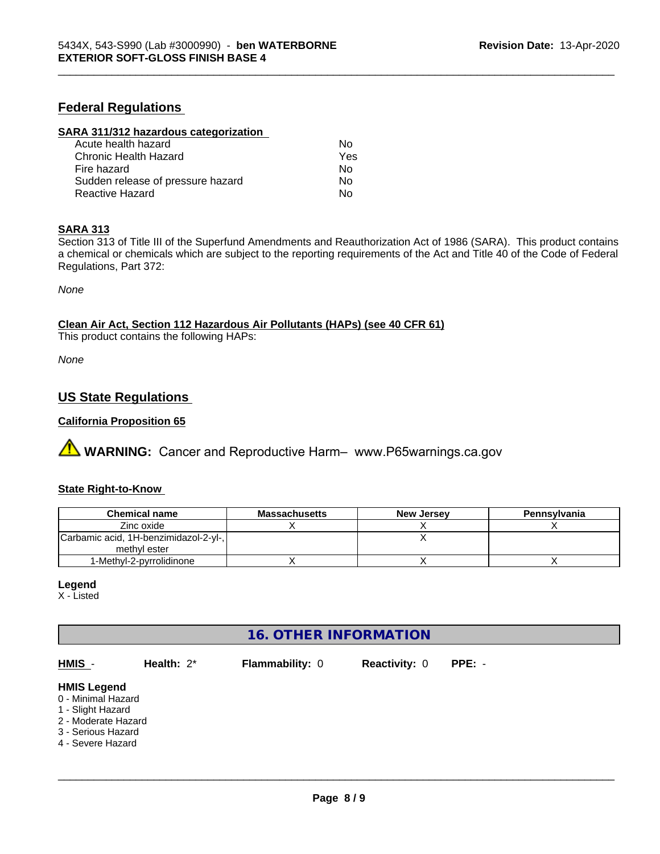# **Federal Regulations**

#### **SARA 311/312 hazardous categorization**

| Acute health hazard               | N٥  |
|-----------------------------------|-----|
| Chronic Health Hazard             | Yes |
| Fire hazard                       | Nο  |
| Sudden release of pressure hazard | Nο  |
| Reactive Hazard                   | N٥  |

#### **SARA 313**

Section 313 of Title III of the Superfund Amendments and Reauthorization Act of 1986 (SARA). This product contains a chemical or chemicals which are subject to the reporting requirements of the Act and Title 40 of the Code of Federal Regulations, Part 372:

\_\_\_\_\_\_\_\_\_\_\_\_\_\_\_\_\_\_\_\_\_\_\_\_\_\_\_\_\_\_\_\_\_\_\_\_\_\_\_\_\_\_\_\_\_\_\_\_\_\_\_\_\_\_\_\_\_\_\_\_\_\_\_\_\_\_\_\_\_\_\_\_\_\_\_\_\_\_\_\_\_\_\_\_\_\_\_\_\_\_\_\_\_

*None*

**Clean Air Act,Section 112 Hazardous Air Pollutants (HAPs) (see 40 CFR 61)**

This product contains the following HAPs:

*None*

# **US State Regulations**

# **California Proposition 65**

**AVIMARNING:** Cancer and Reproductive Harm– www.P65warnings.ca.gov

#### **State Right-to-Know**

| <b>Chemical name</b>                  | <b>Massachusetts</b> | <b>New Jersey</b> | Pennsylvania |
|---------------------------------------|----------------------|-------------------|--------------|
| Zinc oxide                            |                      |                   |              |
| Carbamic acid, 1H-benzimidazol-2-yl-, |                      |                   |              |
| methyl ester                          |                      |                   |              |
| 1-Methyl-2-pyrrolidinone              |                      |                   |              |

# **Legend**

X - Listed

# **16. OTHER INFORMATION**

| <b>HMIS</b>                                                                                                                     | Health: $2^*$ | <b>Flammability: 0</b> | <b>Reactivity: 0</b> | $PPE: -$ |
|---------------------------------------------------------------------------------------------------------------------------------|---------------|------------------------|----------------------|----------|
| <b>HMIS Legend</b><br>0 - Minimal Hazard<br>1 - Slight Hazard<br>2 - Moderate Hazard<br>3 - Serious Hazard<br>4 - Severe Hazard |               |                        |                      |          |